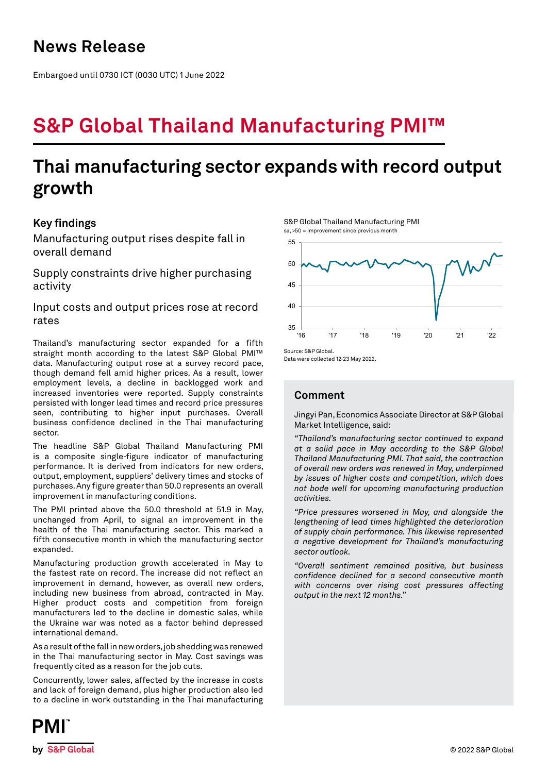## **News Release**

Embargoed until 0730 ICT (0030 UTC) 1 June 2022

# **S&P Global Thailand Manufacturing PMI™**

# **Thai manufacturing sector expands with record output growth**

## **Key findings**

Manufacturing output rises despite fall in overall demand

Supply constraints drive higher purchasing activity

Input costs and output prices rose at record rates

Thailand's manufacturing sector expanded for a fifth straight month according to the latest S&P Global PMI™ data. Manufacturing output rose at a survey record pace, though demand fell amid higher prices. As a result, lower employment levels, a decline in backlogged work and increased inventories were reported. Supply constraints persisted with longer lead times and record price pressures seen, contributing to higher input purchases. Overall business confidence declined in the Thai manufacturing sector.

The headline S&P Global Thailand Manufacturing PMI is a composite single-figure indicator of manufacturing performance. It is derived from indicators for new orders, output, employment, suppliers' delivery times and stocks of purchases. Any figure greater than 50.0 represents an overall improvement in manufacturing conditions.

The PMI printed above the 50.0 threshold at 51.9 in May, unchanged from April, to signal an improvement in the health of the Thai manufacturing sector. This marked a fifth consecutive month in which the manufacturing sector expanded.

Manufacturing production growth accelerated in May to the fastest rate on record. The increase did not reflect an improvement in demand, however, as overall new orders, including new business from abroad, contracted in May. Higher product costs and competition from foreign manufacturers led to the decline in domestic sales, while the Ukraine war was noted as a factor behind depressed international demand.

As a result of the fall in new orders, job shedding was renewed in the Thai manufacturing sector in May. Cost savings was frequently cited as a reason for the job cuts.

Concurrently, lower sales, affected by the increase in costs and lack of foreign demand, plus higher production also led to a decline in work outstanding in the Thai manufacturing

S&P Global Thailand Manufacturing PMI sa, >50 = improvement since previous month



Data were collected 12-23 May 2022.

## **Comment**

Jingyi Pan, Economics Associate Director at S&P Global Market Intelligence, said:

*"Thailand's manufacturing sector continued to expand at a solid pace in May according to the S&P Global Thailand Manufacturing PMI. That said, the contraction of overall new orders was renewed in May, underpinned by issues of higher costs and competition, which does not bode well for upcoming manufacturing production activities.* 

*"Price pressures worsened in May, and alongside the lengthening of lead times highlighted the deterioration of supply chain performance. This likewise represented a negative development for Thailand's manufacturing sector outlook.* 

*"Overall sentiment remained positive, but business confidence declined for a second consecutive month with concerns over rising cost pressures affecting output in the next 12 months."*